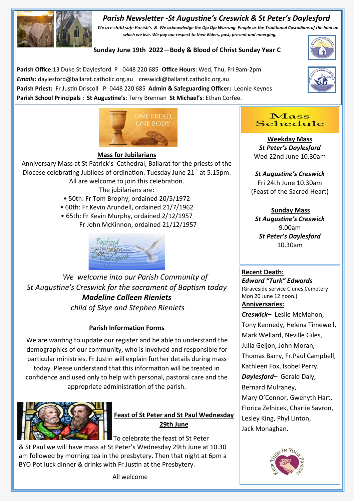# *Parish Newsletter -St Augustine's Creswick & St Peter's Daylesford*



*We are child safe Parish's & We acknowledge the Dja Dja Wurrung People as the Traditional Custodians of the land on which we live. We pay our respect to their Elders, past, present and emerging.* 

**Sunday June 19th 2022—Body & Blood of Christ Sunday Year C**

**Parish Office:**13 Duke St Daylesford P : 0448 220 685 **Office Hours**: Wed, Thu, Fri 9am-2pm *Emails:* daylesford@ballarat.catholic.org.au creswick@ballarat.catholic.org.au **Parish Priest:** Fr Justin Driscoll P: 0448 220 685 **Admin & Safeguarding Officer:** Leonie Keynes **Parish School Principals : St Augustine's**: Terry Brennan **St Michael's**: Ethan Corfee.







## **Mass for Jubilarians**

Anniversary Mass at St Patrick's Cathedral, Ballarat for the priests of the Diocese celebrating Jubilees of ordination. Tuesday June  $21<sup>st</sup>$  at 5.15pm. All are welcome to join this celebration. The jubilarians are:

- 50th: Fr Tom Brophy, ordained 20/5/1972
- 60th: Fr Kevin Arundell, ordained 21/7/1962
- 65th: Fr Kevin Murphy, ordained 2/12/1957 Fr John McKinnon, ordained 21/12/1957



*We welcome into our Parish Community of St Augustine's Creswick for the sacrament of Baptism today Madeline Colleen Rieniets child of Skye and Stephen Rieniets*

# **Parish Information Forms**

We are wanting to update our register and be able to understand the demographics of our community, who is involved and responsible for particular ministries. Fr Justin will explain further details during mass today. Please understand that this information will be treated in confidence and used only to help with personal, pastoral care and the appropriate administration of the parish.



**Feast of St Peter and St Paul Wednesday 29th June**

To celebrate the feast of St Peter

& St Paul we will have mass at St Peter's Wednesday 29th June at 10.30 am followed by morning tea in the presbytery. Then that night at 6pm a BYO Pot luck dinner & drinks with Fr Justin at the Presbytery.

All welcome



**Weekday Mass** *St Peter's Daylesford* Wed 22nd June 10.30am

# *St Augustine's Creswick* Fri 24th June 10.30am (Feast of the Sacred Heart)

# **Sunday Mass**

*St Augustine's Creswick*  9.00am *St Peter's Daylesford*  10.30am

### **Recent Death:**

*Edward "Turk" Edwards*  (Graveside service Clunes Cemetery Mon 20 June 12 noon.) **Anniversaries:**  *Creswick–* Leslie McMahon, Tony Kennedy, Helena Timewell, Mark Wellard, Neville Giles, Julia Geljon, John Moran, Thomas Barry, Fr.Paul Campbell, Kathleen Fox, Isobel Perry. *Daylesford–* Gerald Daly, Bernard Mulraney, Mary O'Connor, Gwenyth Hart, Florica Zelnicek, Charlie Savron, Lesley King, Phyl Linton, Jack Monaghan.